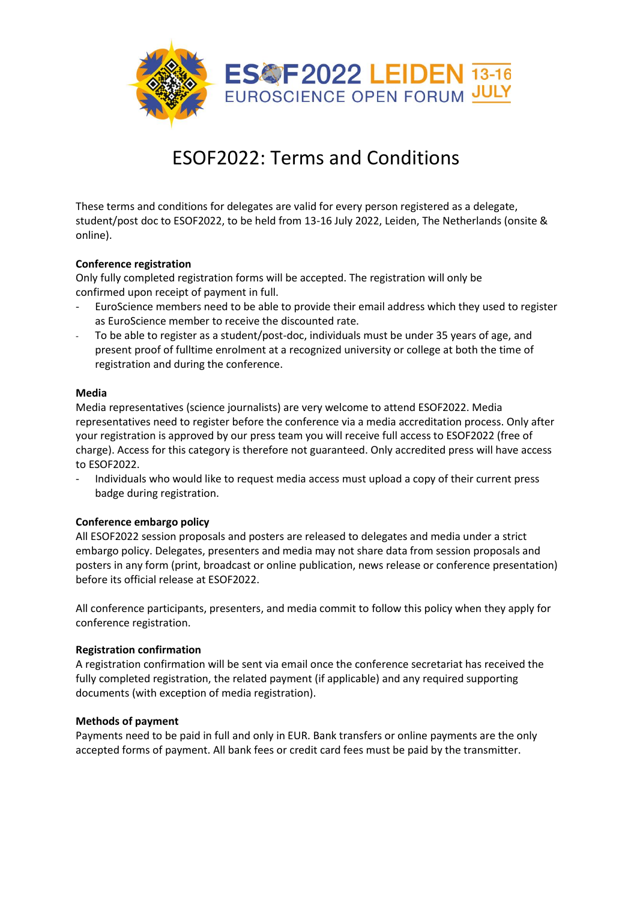

# ESOF2022: Terms and Conditions

These terms and conditions for delegates are valid for every person registered as a delegate, student/post doc to ESOF2022, to be held from 13-16 July 2022, Leiden, The Netherlands (onsite & online).

# **Conference registration**

Only fully completed registration forms will be accepted. The registration will only be confirmed upon receipt of payment in full.

- EuroScience members need to be able to provide their email address which they used to register as EuroScience member to receive the discounted rate.
- To be able to register as a student/post-doc, individuals must be under 35 years of age, and present proof of fulltime enrolment at a recognized university or college at both the time of registration and during the conference.

# **Media**

Media representatives (science journalists) are very welcome to attend ESOF2022. Media representatives need to register before the conference via a media accreditation process. Only after your registration is approved by our press team you will receive full access to ESOF2022 (free of charge). Access for this category is therefore not guaranteed. Only accredited press will have access to ESOF2022.

- Individuals who would like to request media access must upload a copy of their current press badge during registration.

#### **Conference embargo policy**

All ESOF2022 session proposals and posters are released to delegates and media under a strict embargo policy. Delegates, presenters and media may not share data from session proposals and posters in any form (print, broadcast or online publication, news release or conference presentation) before its official release at ESOF2022.

All conference participants, presenters, and media commit to follow this policy when they apply for conference registration.

#### **Registration confirmation**

A registration confirmation will be sent via email once the conference secretariat has received the fully completed registration, the related payment (if applicable) and any required supporting documents (with exception of media registration).

#### **Methods of payment**

Payments need to be paid in full and only in EUR. Bank transfers or online payments are the only accepted forms of payment. All bank fees or credit card fees must be paid by the transmitter.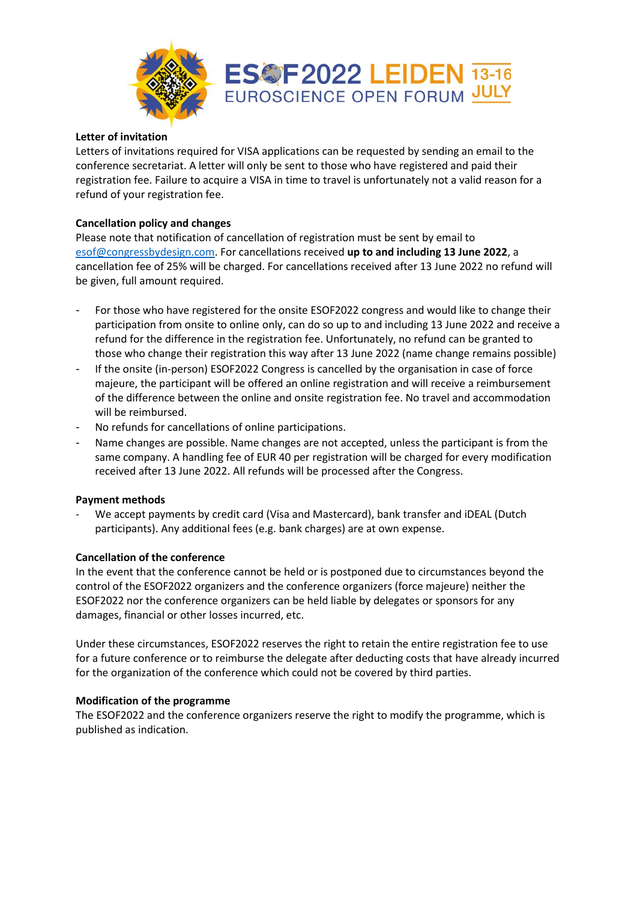

# **Letter of invitation**

Letters of invitations required for VISA applications can be requested by sending an email to the conference secretariat. A letter will only be sent to those who have registered and paid their registration fee. Failure to acquire a VISA in time to travel is unfortunately not a valid reason for a refund of your registration fee.

# **Cancellation policy and changes**

Please note that notification of cancellation of registration must be sent by email to [esof@congressbydesign.com.](mailto:esof@congressbydesign.com) For cancellations received **up to and including 13 June 2022**, a cancellation fee of 25% will be charged. For cancellations received after 13 June 2022 no refund will be given, full amount required.

- For those who have registered for the onsite ESOF2022 congress and would like to change their participation from onsite to online only, can do so up to and including 13 June 2022 and receive a refund for the difference in the registration fee. Unfortunately, no refund can be granted to those who change their registration this way after 13 June 2022 (name change remains possible)
- If the onsite (in-person) ESOF2022 Congress is cancelled by the organisation in case of force majeure, the participant will be offered an online registration and will receive a reimbursement of the difference between the online and onsite registration fee. No travel and accommodation will be reimbursed.
- No refunds for cancellations of online participations.
- Name changes are possible. Name changes are not accepted, unless the participant is from the same company. A handling fee of EUR 40 per registration will be charged for every modification received after 13 June 2022. All refunds will be processed after the Congress.

#### **Payment methods**

We accept payments by credit card (Visa and Mastercard), bank transfer and iDEAL (Dutch participants). Any additional fees (e.g. bank charges) are at own expense.

#### **Cancellation of the conference**

In the event that the conference cannot be held or is postponed due to circumstances beyond the control of the ESOF2022 organizers and the conference organizers (force majeure) neither the ESOF2022 nor the conference organizers can be held liable by delegates or sponsors for any damages, financial or other losses incurred, etc.

Under these circumstances, ESOF2022 reserves the right to retain the entire registration fee to use for a future conference or to reimburse the delegate after deducting costs that have already incurred for the organization of the conference which could not be covered by third parties.

#### **Modification of the programme**

The ESOF2022 and the conference organizers reserve the right to modify the programme, which is published as indication.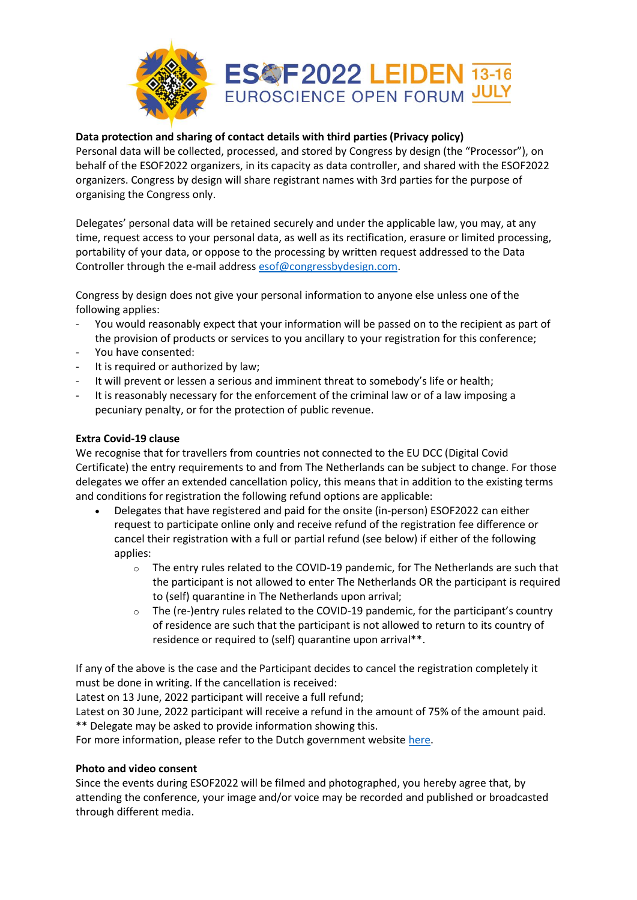

# **Data protection and sharing of contact details with third parties (Privacy policy)**

Personal data will be collected, processed, and stored by Congress by design (the "Processor"), on behalf of the ESOF2022 organizers, in its capacity as data controller, and shared with the ESOF2022 organizers. Congress by design will share registrant names with 3rd parties for the purpose of organising the Congress only.

Delegates' personal data will be retained securely and under the applicable law, you may, at any time, request access to your personal data, as well as its rectification, erasure or limited processing, portability of your data, or oppose to the processing by written request addressed to the Data Controller through the e-mail address [esof@congressbydesign.com.](mailto:esof@congressbydesign.com)

Congress by design does not give your personal information to anyone else unless one of the following applies:

- You would reasonably expect that your information will be passed on to the recipient as part of the provision of products or services to you ancillary to your registration for this conference;
- You have consented:
- It is required or authorized by law;
- It will prevent or lessen a serious and imminent threat to somebody's life or health;
- It is reasonably necessary for the enforcement of the criminal law or of a law imposing a pecuniary penalty, or for the protection of public revenue.

# **Extra Covid-19 clause**

We recognise that for travellers from countries not connected to the EU DCC (Digital Covid Certificate) the entry requirements to and from The Netherlands can be subject to change. For those delegates we offer an extended cancellation policy, this means that in addition to the existing terms and conditions for registration the following refund options are applicable:

- Delegates that have registered and paid for the onsite (in-person) ESOF2022 can either request to participate online only and receive refund of the registration fee difference or cancel their registration with a full or partial refund (see below) if either of the following applies:
	- $\circ$  The entry rules related to the COVID-19 pandemic, for The Netherlands are such that the participant is not allowed to enter The Netherlands OR the participant is required to (self) quarantine in The Netherlands upon arrival;
	- $\circ$  The (re-)entry rules related to the COVID-19 pandemic, for the participant's country of residence are such that the participant is not allowed to return to its country of residence or required to (self) quarantine upon arrival\*\*.

If any of the above is the case and the Participant decides to cancel the registration completely it must be done in writing. If the cancellation is received:

Latest on 13 June, 2022 participant will receive a full refund;

Latest on 30 June, 2022 participant will receive a refund in the amount of 75% of the amount paid. \*\* Delegate may be asked to provide information showing this.

For more information, please refer to the Dutch government website [here.](https://www.rijksoverheid.nl/onderwerpen/coronavirus-covid-19/algemene-coronaregels/kort-overzicht-coronamaatregelen)

#### **Photo and video consent**

Since the events during ESOF2022 will be filmed and photographed, you hereby agree that, by attending the conference, your image and/or voice may be recorded and published or broadcasted through different media.